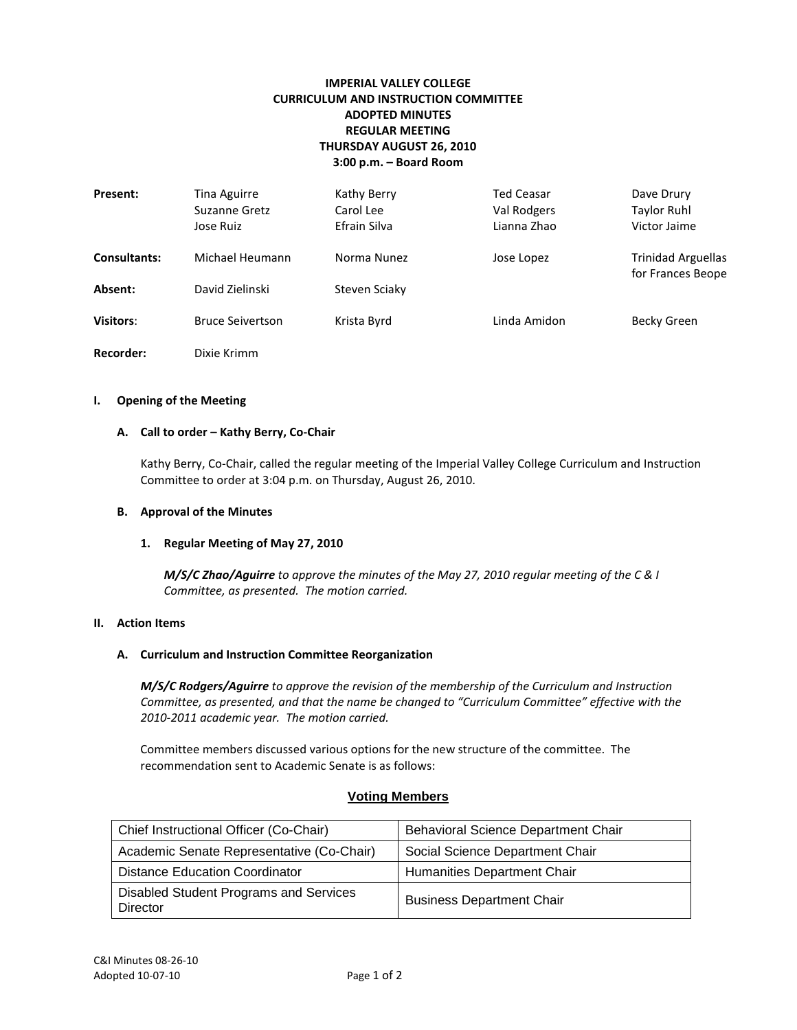# **IMPERIAL VALLEY COLLEGE CURRICULUM AND INSTRUCTION COMMITTEE ADOPTED MINUTES REGULAR MEETING THURSDAY AUGUST 26, 2010 3:00 p.m. – Board Room**

| Present:         | <b>Tina Aguirre</b><br>Suzanne Gretz<br>Jose Ruiz | Kathy Berry<br>Carol Lee<br>Efrain Silva | <b>Ted Ceasar</b><br>Val Rodgers<br>Lianna Zhao | Dave Drury<br><b>Taylor Ruhl</b><br>Victor Jaime |
|------------------|---------------------------------------------------|------------------------------------------|-------------------------------------------------|--------------------------------------------------|
| Consultants:     | Michael Heumann                                   | Norma Nunez                              | Jose Lopez                                      | <b>Trinidad Arguellas</b><br>for Frances Beope   |
| Absent:          | David Zielinski                                   | Steven Sciaky                            |                                                 |                                                  |
| Visitors:        | <b>Bruce Seivertson</b>                           | Krista Byrd                              | Linda Amidon                                    | Becky Green                                      |
| <b>Recorder:</b> | Dixie Krimm                                       |                                          |                                                 |                                                  |

#### **I. Opening of the Meeting**

#### **A. Call to order – Kathy Berry, Co-Chair**

Kathy Berry, Co-Chair, called the regular meeting of the Imperial Valley College Curriculum and Instruction Committee to order at 3:04 p.m. on Thursday, August 26, 2010.

#### **B. Approval of the Minutes**

#### **1. Regular Meeting of May 27, 2010**

*M/S/C Zhao/Aguirre to approve the minutes of the May 27, 2010 regular meeting of the C & I Committee, as presented. The motion carried.*

## **II. Action Items**

#### **A. Curriculum and Instruction Committee Reorganization**

*M/S/C Rodgers/Aguirre to approve the revision of the membership of the Curriculum and Instruction Committee, as presented, and that the name be changed to "Curriculum Committee" effective with the 2010-2011 academic year. The motion carried.*

Committee members discussed various options for the new structure of the committee. The recommendation sent to Academic Senate is as follows:

# **Voting Members**

| Chief Instructional Officer (Co-Chair)             | Behavioral Science Department Chair |
|----------------------------------------------------|-------------------------------------|
| Academic Senate Representative (Co-Chair)          | Social Science Department Chair     |
| Distance Education Coordinator                     | Humanities Department Chair         |
| Disabled Student Programs and Services<br>Director | <b>Business Department Chair</b>    |